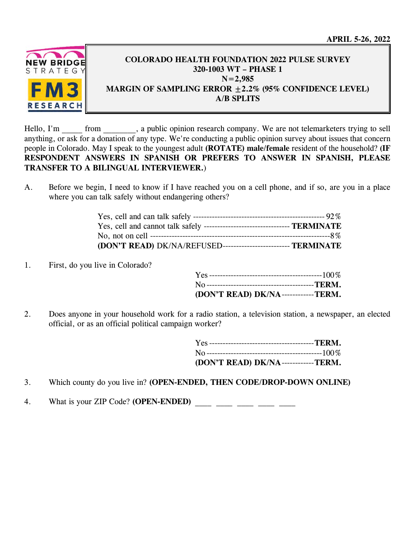**APRIL 5-26, 2022** 



## **COLORADO HEALTH FOUNDATION 2022 PULSE SURVEY 320-1003 WT – PHASE 1 N=2,985 MARGIN OF SAMPLING ERROR ±2.2% (95% CONFIDENCE LEVEL) A/B SPLITS**

Hello, I'm from , a public opinion research company. We are not telemarketers trying to sell anything, or ask for a donation of any type. We're conducting a public opinion survey about issues that concern people in Colorado. May I speak to the youngest adult **(ROTATE) male/female** resident of the household? **(IF RESPONDENT ANSWERS IN SPANISH OR PREFERS TO ANSWER IN SPANISH, PLEASE TRANSFER TO A BILINGUAL INTERVIEWER.**)

A. Before we begin, I need to know if I have reached you on a cell phone, and if so, are you in a place where you can talk safely without endangering others?

| Yes, cell and cannot talk safely ---------------------------------- TERMINATE |  |
|-------------------------------------------------------------------------------|--|
|                                                                               |  |
| (DON'T READ) DK/NA/REFUSED-------------------------- TERMINATE                |  |

1. First, do you live in Colorado?

| (DON'T READ) DK/NA------------TERM. |  |
|-------------------------------------|--|

2. Does anyone in your household work for a radio station, a television station, a newspaper, an elected official, or as an official political campaign worker?

| (DON'T READ) DK/NA------------TERM. |  |
|-------------------------------------|--|

- 3. Which county do you live in? **(OPEN-ENDED, THEN CODE/DROP-DOWN ONLINE)**
- 4. What is your ZIP Code? **(OPEN-ENDED)** \_\_\_\_ \_\_\_\_ \_\_\_\_ \_\_\_\_ \_\_\_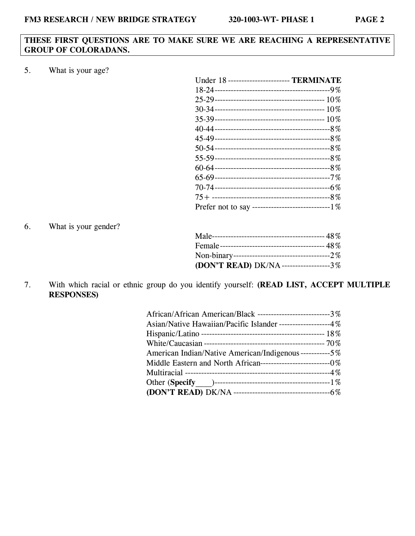## **THESE FIRST QUESTIONS ARE TO MAKE SURE WE ARE REACHING A REPRESENTATIVE GROUP OF COLORADANS.**

5. What is your age?

| Under 18 ------------------------ TERMINATE          |
|------------------------------------------------------|
|                                                      |
|                                                      |
|                                                      |
|                                                      |
|                                                      |
|                                                      |
|                                                      |
|                                                      |
|                                                      |
|                                                      |
|                                                      |
|                                                      |
| Prefer not to say --------------------------------1% |

6. What is your gender?

| (DON'T READ) DK/NA------------------3% |  |
|----------------------------------------|--|

7. With which racial or ethnic group do you identify yourself: **(READ LIST, ACCEPT MULTIPLE RESPONSES)**

| African/African American/Black ---------------------------3% |
|--------------------------------------------------------------|
| Asian/Native Hawaiian/Pacific Islander -------------------4% |
|                                                              |
|                                                              |
| American Indian/Native American/Indigenous-----------5%      |
|                                                              |
|                                                              |
|                                                              |
|                                                              |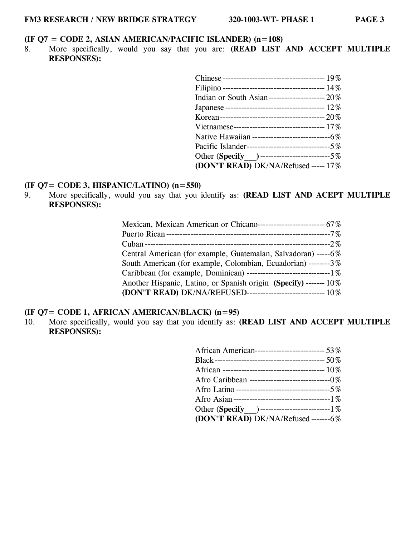#### **(IF Q7 = CODE 2, ASIAN AMERICAN/PACIFIC ISLANDER) (n=108)**

8. More specifically, would you say that you are: **(READ LIST AND ACCEPT MULTIPLE RESPONSES):**

| Indian or South Asian---------------------- $20\%$  |  |
|-----------------------------------------------------|--|
|                                                     |  |
|                                                     |  |
|                                                     |  |
| Native Hawaiian -----------------------------6%     |  |
| Pacific Islander---------------------------------5% |  |
| Other (Specify )----------------------------5%      |  |
| (DON'T READ) DK/NA/Refused ----- 17%                |  |

## **(IF Q7= CODE 3, HISPANIC/LATINO) (n=550)**

9. More specifically, would you say that you identify as: **(READ LIST AND ACEPT MULTIPLE RESPONSES):** 

#### **(IF Q7= CODE 1, AFRICAN AMERICAN/BLACK) (n=95)**

10. More specifically, would you say that you identify as: **(READ LIST AND ACCEPT MULTIPLE RESPONSES):** 

| African American---------------------------- 53%   |
|----------------------------------------------------|
|                                                    |
|                                                    |
| Afro Caribbean ---------------------------------0% |
|                                                    |
|                                                    |
| Other (Specify ) -----------------------------1%   |
| (DON'T READ) DK/NA/Refused-------6%                |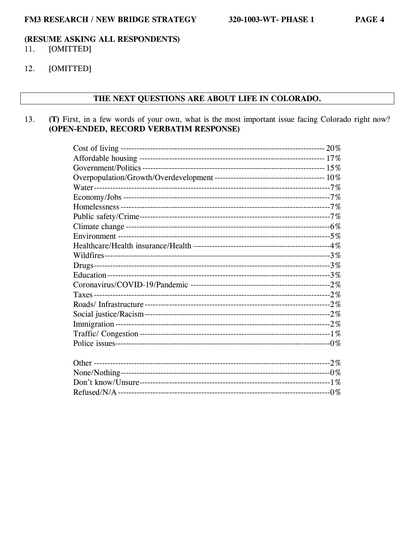#### (RESUME ASKING ALL RESPONDENTS) 11. [OMITTED]

[OMITTED] 12.

#### THE NEXT QUESTIONS ARE ABOUT LIFE IN COLORADO.

(T) First, in a few words of your own, what is the most important issue facing Colorado right now? 13. (OPEN-ENDED, RECORD VERBATIM RESPONSE)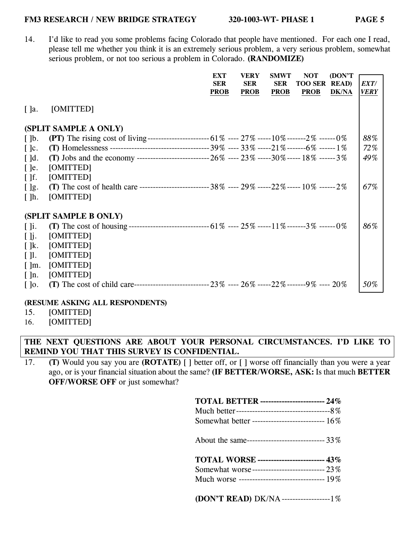14. I'd like to read you some problems facing Colorado that people have mentioned. For each one I read, please tell me whether you think it is an extremely serious problem, a very serious problem, somewhat serious problem, or not too serious a problem in Colorado. **(RANDOMIZE)** 

|                          |                                                                                                       | EXT<br><b>SER</b><br><b>PROB</b> | <b>VERY</b><br><b>SER</b><br><b>PROB</b> | <b>SMWT</b><br><b>SER</b><br><b>PROB</b> | <b>NOT</b><br><b>TOO SER</b><br><b>PROB</b> | (DON'T<br><b>READ</b> )<br><b>DK/NA</b> | EXT/<br><b>VERY</b> |
|--------------------------|-------------------------------------------------------------------------------------------------------|----------------------------------|------------------------------------------|------------------------------------------|---------------------------------------------|-----------------------------------------|---------------------|
| $\lceil$ ]a.             | [OMITTED]                                                                                             |                                  |                                          |                                          |                                             |                                         |                     |
|                          | (SPLIT SAMPLE A ONLY)                                                                                 |                                  |                                          |                                          |                                             |                                         |                     |
| $\lceil \cdot \rceil$    |                                                                                                       |                                  |                                          |                                          |                                             |                                         | 88%                 |
| $\lceil \cdot \rceil$ c. |                                                                                                       |                                  |                                          |                                          |                                             |                                         | 72%                 |
| $\lceil$ $\lceil$ d.     |                                                                                                       |                                  |                                          |                                          |                                             |                                         | 49%                 |
| $\lceil$ le.             | [OMITTED]                                                                                             |                                  |                                          |                                          |                                             |                                         |                     |
| $\lceil \cdot \rceil$    | [OMITTED]                                                                                             |                                  |                                          |                                          |                                             |                                         |                     |
| $[$ $]$ g.               | (T) The cost of health care ------------------------------- 38% ---- 29% -----22% ----- 10% ------ 2% |                                  |                                          |                                          |                                             |                                         | 67%                 |
| $\lceil \cdot \rceil$ h. | [OMITTED]                                                                                             |                                  |                                          |                                          |                                             |                                         |                     |
|                          | (SPLIT SAMPLE B ONLY)                                                                                 |                                  |                                          |                                          |                                             |                                         |                     |
| $\lceil \cdot \rceil$ i. |                                                                                                       |                                  |                                          |                                          |                                             |                                         | 86%                 |
| $[$ $]$ j.               | [OMITTED]                                                                                             |                                  |                                          |                                          |                                             |                                         |                     |
| $\lceil \cdot \rceil$ k. | [OMITTED]                                                                                             |                                  |                                          |                                          |                                             |                                         |                     |
| $\lceil \cdot \rceil$    | [OMITTED]                                                                                             |                                  |                                          |                                          |                                             |                                         |                     |
| $\lceil \ln.$            | [OMITTED]                                                                                             |                                  |                                          |                                          |                                             |                                         |                     |
| $\lceil \cdot \rceil$ n. | [OMITTED]                                                                                             |                                  |                                          |                                          |                                             |                                         |                     |
| $\lceil \cdot \rceil$    |                                                                                                       |                                  |                                          |                                          |                                             |                                         | 50%                 |

#### **(RESUME ASKING ALL RESPONDENTS)**

15. [OMITTED]

16. [OMITTED]

## **THE NEXT QUESTIONS ARE ABOUT YOUR PERSONAL CIRCUMSTANCES. I'D LIKE TO REMIND YOU THAT THIS SURVEY IS CONFIDENTIAL.**

17. **(T)** Would you say you are **(ROTATE)** [ ] better off, or [ ] worse off financially than you were a year ago, or is your financial situation about the same? **(IF BETTER/WORSE, ASK:** Is that much **BETTER OFF/WORSE OFF** or just somewhat?

| <b>TOTAL BETTER</b> ------------------------ 24% |
|--------------------------------------------------|
|                                                  |
| Somewhat better --------------------------- 16%  |
| About the same------------------------------ 33% |
| <b>TOTAL WORSE</b> ------------------------- 43% |
| Somewhat worse---------------------------- 23%   |
|                                                  |
| Much worse -------------------------------- 19%  |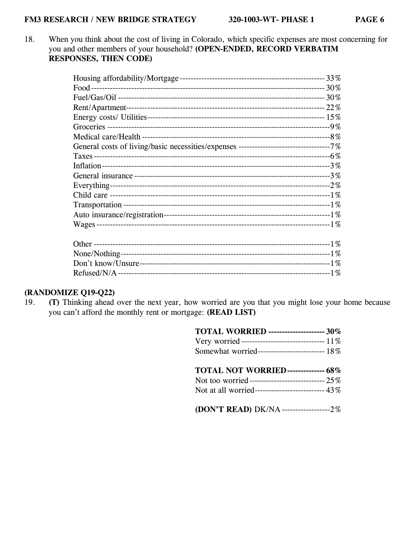18. When you think about the cost of living in Colorado, which specific expenses are most concerning for you and other members of your household? **(OPEN-ENDED, RECORD VERBATIM RESPONSES, THEN CODE)**

## **(RANDOMIZE Q19-Q22)**

19. **(T)** Thinking ahead over the next year, how worried are you that you might lose your home because you can't afford the monthly rent or mortgage: **(READ LIST)**

| <b>TOTAL WORRIED</b> --------------------- 30%      |
|-----------------------------------------------------|
| Very worried ------------------------------ 11%     |
| Somewhat worried------------------------- 18%       |
| TOTAL NOT WORRIED-------------- 68%                 |
| Not too worried-------------------------------- 25% |
| Not at all worried-------------------------- 43%    |
| (DON'T READ) DK/NA---------------------2%           |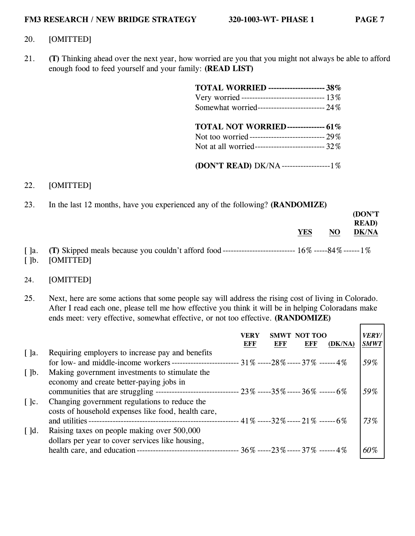**(DON'T** 

#### 20. [OMITTED]

21. **(T)** Thinking ahead over the next year, how worried are you that you might not always be able to afford enough food to feed yourself and your family: **(READ LIST)**

| <b>TOTAL WORRIED</b> --------------------- 38%                                                  |  |
|-------------------------------------------------------------------------------------------------|--|
| Very worried ------------------------------- 13%                                                |  |
| Somewhat worried-------------------------- 24%                                                  |  |
| <b>TOTAL NOT WORRIED-------------- 61%</b><br>Not at all worried--------------------------- 32% |  |

# **(DON'T READ)** DK/NA ------------------ 1%

## 22. [OMITTED]

23. In the last 12 months, have you experienced any of the following? **(RANDOMIZE)**

|                       |           |            |                | (DON'T)<br><b>READ</b> ) |
|-----------------------|-----------|------------|----------------|--------------------------|
|                       |           | <b>YES</b> | N <sub>O</sub> | <b>DK/NA</b>             |
| $\lceil$ $\rceil$ a.  |           |            |                |                          |
| $\lceil \cdot \rceil$ | [OMITTED] |            |                |                          |

#### 24. [OMITTED]

25. Next, here are some actions that some people say will address the rising cost of living in Colorado. After I read each one, please tell me how effective you think it will be in helping Coloradans make ends meet: very effective, somewhat effective, or not too effective. **(RANDOMIZE)** 

|                                                   |                                                                                                                                                                                                           | VERY<br>EFF | EFF | SMWT NOT TOO<br>EFF | (DK/NA) | <i><b>VERY/</b></i><br><b>SMWT</b> |
|---------------------------------------------------|-----------------------------------------------------------------------------------------------------------------------------------------------------------------------------------------------------------|-------------|-----|---------------------|---------|------------------------------------|
| $\lceil \cdot \rceil$ a.<br>$\lceil \cdot \rceil$ | Requiring employers to increase pay and benefits<br>for low- and middle-income workers -------------------------- $31\%$ -----28% -----37% ------4%<br>Making government investments to stimulate the     |             |     |                     |         | 59%                                |
| $\lceil \cdot \rceil$ c.                          | economy and create better-paying jobs in<br>communities that are struggling ---------------------------------- $23\%$ -----35% ----- $36\%$ ------ $6\%$<br>Changing government regulations to reduce the |             |     |                     |         | 59%                                |
| $\lceil$ d.                                       | costs of household expenses like food, health care,<br>and utilities -<br>Raising taxes on people making over 500,000                                                                                     |             |     |                     |         | 73%                                |
|                                                   | dollars per year to cover services like housing,                                                                                                                                                          |             |     |                     |         | 60%                                |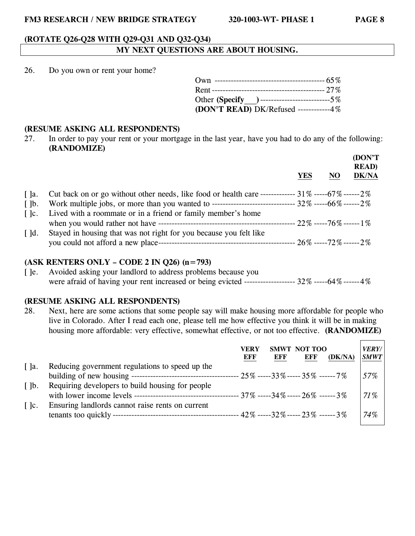#### **(ROTATE Q26-Q28 WITH Q29-Q31 AND Q32-Q34)**

## **MY NEXT QUESTIONS ARE ABOUT HOUSING.**

26. Do you own or rent your home?

| Other (Specify ) -----------------------------5% |
|--------------------------------------------------|
| (DON'T READ) DK/Refused ------------4%           |

#### **(RESUME ASKING ALL RESPONDENTS)**

27. In order to pay your rent or your mortgage in the last year, have you had to do any of the following: **(RANDOMIZE)**

|                          |                                                                                                                 | YES | N <sub>O</sub> | (DON'T<br><b>READ</b> )<br><b>DK/NA</b> |
|--------------------------|-----------------------------------------------------------------------------------------------------------------|-----|----------------|-----------------------------------------|
| $\lceil$ $\rceil$ a.     | Cut back on or go without other needs, like food or health care ------------- $31\%$ ------ $67\%$ ------ $2\%$ |     |                |                                         |
| $\lceil \cdot \rceil$    | Work multiple jobs, or more than you wanted to ------------------------------- 32% -----66% ------2%            |     |                |                                         |
| $\lceil \cdot \rceil$ c. | Lived with a roommate or in a friend or family member's home                                                    |     |                |                                         |
|                          |                                                                                                                 |     |                |                                         |
| $\lceil$ $\lceil$ d.     | Stayed in housing that was not right for you because you felt like                                              |     |                |                                         |

#### **(ASK RENTERS ONLY – CODE 2 IN Q26) (n=793)**

[ ]e. Avoided asking your landlord to address problems because you were afraid of having your rent increased or being evicted ------------------ 32% ----- 64% ------ 4%

#### **(RESUME ASKING ALL RESPONDENTS)**

28. Next, here are some actions that some people say will make housing more affordable for people who live in Colorado. After I read each one, please tell me how effective you think it will be in making housing more affordable: very effective, somewhat effective, or not too effective. **(RANDOMIZE)**

|                          |                                                  | VERY<br>EFF                            | <b>SMWT</b><br>EFF | NOT TOO<br>EFF | (DK/NA) | <b>VERY/</b><br><b>SMWT</b> |
|--------------------------|--------------------------------------------------|----------------------------------------|--------------------|----------------|---------|-----------------------------|
| $\lceil$ $\rceil$ a.     | Reducing government regulations to speed up the  |                                        |                    |                |         |                             |
|                          |                                                  |                                        |                    |                |         | 57%                         |
| $\lceil \cdot \rceil$    | Requiring developers to build housing for people |                                        |                    |                |         |                             |
|                          |                                                  | ----- 37% -----34% ----- 26% ------ 3% |                    |                |         | 71%                         |
| $\lceil \cdot \rceil$ c. | Ensuring landlords cannot raise rents on current |                                        |                    |                |         |                             |
|                          |                                                  |                                        |                    |                |         | 74%                         |
|                          |                                                  |                                        |                    |                |         |                             |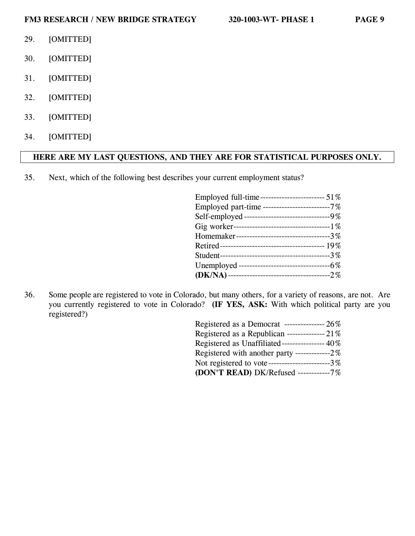- 29. [OMITTED]
- 30. [OMITTED]
- 31. [OMITTED]
- 32. [OMITTED]
- 33. [OMITTED]
- 34. [OMITTED]

## **HERE ARE MY LAST QUESTIONS, AND THEY ARE FOR STATISTICAL PURPOSES ONLY.**

35. Next, which of the following best describes your current employment status?

| Employed full-time------------------------ 51%    |
|---------------------------------------------------|
| Employed part-time -------------------------7%    |
| Self-employed ---------------------------------9% |
|                                                   |
| Homemaker----------------------------------3%     |
|                                                   |
|                                                   |
|                                                   |
|                                                   |

36. Some people are registered to vote in Colorado, but many others, for a variety of reasons, are not. Are you currently registered to vote in Colorado? **(IF YES, ASK:** With which political party are you registered?)

| Registered as a Democrat ---------------- $26\%$ |
|--------------------------------------------------|
| Registered as a Republican -------------- 21%    |
| Registered as Unaffiliated----------------- 40%  |
| Registered with another party -------------2%    |
| Not registered to vote-----------------------3%  |
| (DON'T READ) DK/Refused -----------7%            |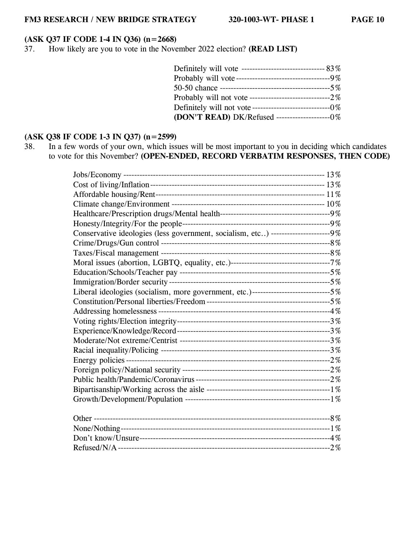## **(ASK Q37 IF CODE 1-4 IN Q36) (n=2668)**

37. How likely are you to vote in the November 2022 election? **(READ LIST)**

| Probably will vote-----------------------------------9% |  |
|---------------------------------------------------------|--|
|                                                         |  |
|                                                         |  |
| Definitely will not vote-----------------------------0% |  |
| (DON'T READ) DK/Refused ---------------------0%         |  |

### **(ASK Q38 IF CODE 1-3 IN Q37) (n=2599)**

38. In a few words of your own, which issues will be most important to you in deciding which candidates to vote for this November? **(OPEN-ENDED, RECORD VERBATIM RESPONSES, THEN CODE)**

| Conservative ideologies (less government, socialism, etc) -----------------------9%   |  |
|---------------------------------------------------------------------------------------|--|
|                                                                                       |  |
|                                                                                       |  |
|                                                                                       |  |
|                                                                                       |  |
|                                                                                       |  |
| Liberal ideologies (socialism, more government, etc.)------------------------------5% |  |
|                                                                                       |  |
|                                                                                       |  |
|                                                                                       |  |
|                                                                                       |  |
|                                                                                       |  |
|                                                                                       |  |
|                                                                                       |  |
|                                                                                       |  |
|                                                                                       |  |
|                                                                                       |  |
|                                                                                       |  |
|                                                                                       |  |
|                                                                                       |  |
|                                                                                       |  |
|                                                                                       |  |
|                                                                                       |  |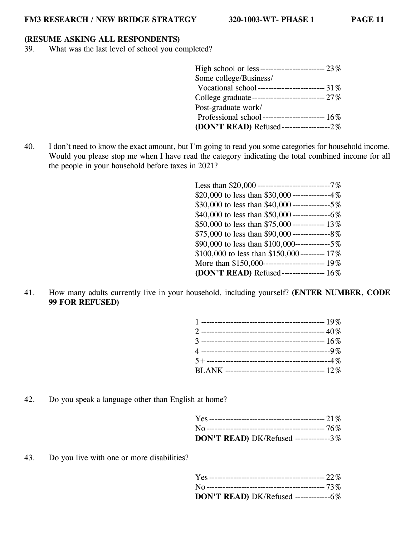#### **(RESUME ASKING ALL RESPONDENTS)**

39. What was the last level of school you completed?

| High school or less-------------------------- 23%   |
|-----------------------------------------------------|
| Some college/Business/                              |
| Vocational school -------------------------- $31\%$ |
|                                                     |
| Post-graduate work/                                 |
|                                                     |
| (DON'T READ) Refused-------------------2%           |
|                                                     |

40. I don't need to know the exact amount, but I'm going to read you some categories for household income. Would you please stop me when I have read the category indicating the total combined income for all the people in your household before taxes in 2021?

| Less than $$20,000$ ----------------------------7% |
|----------------------------------------------------|
| \$20,000 to less than \$30,000 --------------4%    |
|                                                    |
|                                                    |
| \$50,000 to less than \$75,000 ------------- 13%   |
|                                                    |
|                                                    |
| \$100,000 to less than \$150,000 --------- 17%     |
|                                                    |
| (DON'T READ) Refused----------------- 16%          |

41. How many adults currently live in your household, including yourself? **(ENTER NUMBER, CODE 99 FOR REFUSED)**

42. Do you speak a language other than English at home?

| DON'T READ) DK/Refused -------------3% |  |
|----------------------------------------|--|

43. Do you live with one or more disabilities?

| DON'T READ) DK/Refused --------------6% |  |
|-----------------------------------------|--|